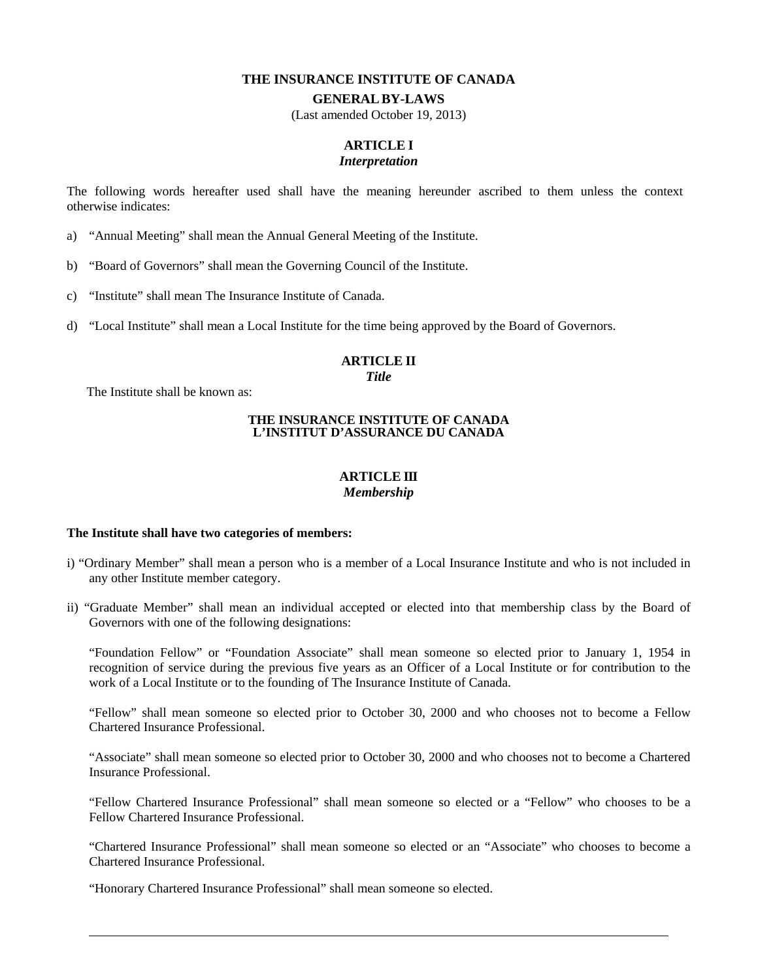#### **THE INSURANCE INSTITUTE OF CANADA**

#### **GENERAL BY-LAWS**

(Last amended October 19, 2013)

# **ARTICLE I**

#### *Interpretation*

The following words hereafter used shall have the meaning hereunder ascribed to them unless the context otherwise indicates:

- a) "Annual Meeting" shall mean the Annual General Meeting of the Institute.
- b) "Board of Governors" shall mean the Governing Council of the Institute.
- c) "Institute" shall mean The Insurance Institute of Canada.
- d) "Local Institute" shall mean a Local Institute for the time being approved by the Board of Governors.

## **ARTICLE II**

*Title* 

The Institute shall be known as:

#### **THE INSURANCE INSTITUTE OF CANADA L'INSTITUT D'ASSURANCE DU CANADA**

## **ARTICLE III** *Membership*

#### **The Institute shall have two categories of members:**

- i) "Ordinary Member" shall mean a person who is a member of a Local Insurance Institute and who is not included in any other Institute member category.
- ii) "Graduate Member" shall mean an individual accepted or elected into that membership class by the Board of Governors with one of the following designations:

"Foundation Fellow" or "Foundation Associate" shall mean someone so elected prior to January 1, 1954 in recognition of service during the previous five years as an Officer of a Local Institute or for contribution to the work of a Local Institute or to the founding of The Insurance Institute of Canada.

"Fellow" shall mean someone so elected prior to October 30, 2000 and who chooses not to become a Fellow Chartered Insurance Professional.

"Associate" shall mean someone so elected prior to October 30, 2000 and who chooses not to become a Chartered Insurance Professional.

"Fellow Chartered Insurance Professional" shall mean someone so elected or a "Fellow" who chooses to be a Fellow Chartered Insurance Professional.

"Chartered Insurance Professional" shall mean someone so elected or an "Associate" who chooses to become a Chartered Insurance Professional.

"Honorary Chartered Insurance Professional" shall mean someone so elected.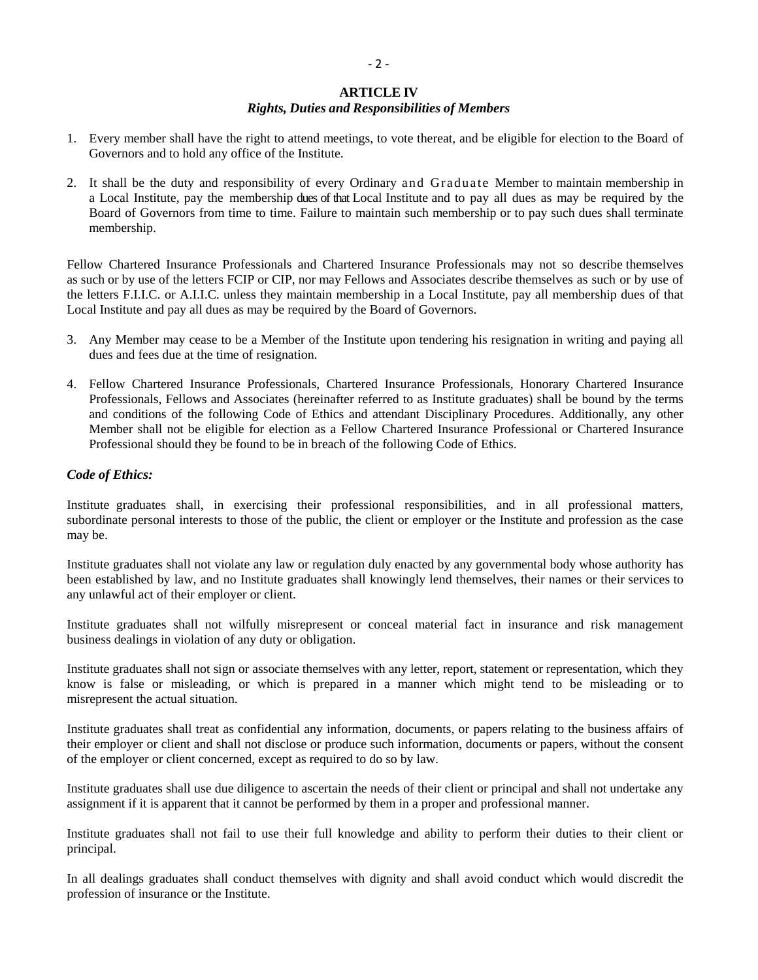## **ARTICLE IV**

# *Rights, Duties and Responsibilities of Members*

- 1. Every member shall have the right to attend meetings, to vote thereat, and be eligible for election to the Board of Governors and to hold any office of the Institute.
- 2. It shall be the duty and responsibility of every Ordinary and Graduate Member to maintain membership in a Local Institute, pay the membership dues of that Local Institute and to pay all dues as may be required by the Board of Governors from time to time. Failure to maintain such membership or to pay such dues shall terminate membership.

Fellow Chartered Insurance Professionals and Chartered Insurance Professionals may not so describe themselves as such or by use of the letters FCIP or CIP, nor may Fellows and Associates describe themselves as such or by use of the letters F.I.I.C. or A.I.I.C. unless they maintain membership in a Local Institute, pay all membership dues of that Local Institute and pay all dues as may be required by the Board of Governors.

- 3. Any Member may cease to be a Member of the Institute upon tendering his resignation in writing and paying all dues and fees due at the time of resignation.
- 4. Fellow Chartered Insurance Professionals, Chartered Insurance Professionals, Honorary Chartered Insurance Professionals, Fellows and Associates (hereinafter referred to as Institute graduates) shall be bound by the terms and conditions of the following Code of Ethics and attendant Disciplinary Procedures. Additionally, any other Member shall not be eligible for election as a Fellow Chartered Insurance Professional or Chartered Insurance Professional should they be found to be in breach of the following Code of Ethics.

# *Code of Ethics:*

Institute graduates shall, in exercising their professional responsibilities, and in all professional matters, subordinate personal interests to those of the public, the client or employer or the Institute and profession as the case may be.

Institute graduates shall not violate any law or regulation duly enacted by any governmental body whose authority has been established by law, and no Institute graduates shall knowingly lend themselves, their names or their services to any unlawful act of their employer or client.

Institute graduates shall not wilfully misrepresent or conceal material fact in insurance and risk management business dealings in violation of any duty or obligation.

Institute graduates shall not sign or associate themselves with any letter, report, statement or representation, which they know is false or misleading, or which is prepared in a manner which might tend to be misleading or to misrepresent the actual situation.

Institute graduates shall treat as confidential any information, documents, or papers relating to the business affairs of their employer or client and shall not disclose or produce such information, documents or papers, without the consent of the employer or client concerned, except as required to do so by law.

Institute graduates shall use due diligence to ascertain the needs of their client or principal and shall not undertake any assignment if it is apparent that it cannot be performed by them in a proper and professional manner.

Institute graduates shall not fail to use their full knowledge and ability to perform their duties to their client or principal.

In all dealings graduates shall conduct themselves with dignity and shall avoid conduct which would discredit the profession of insurance or the Institute.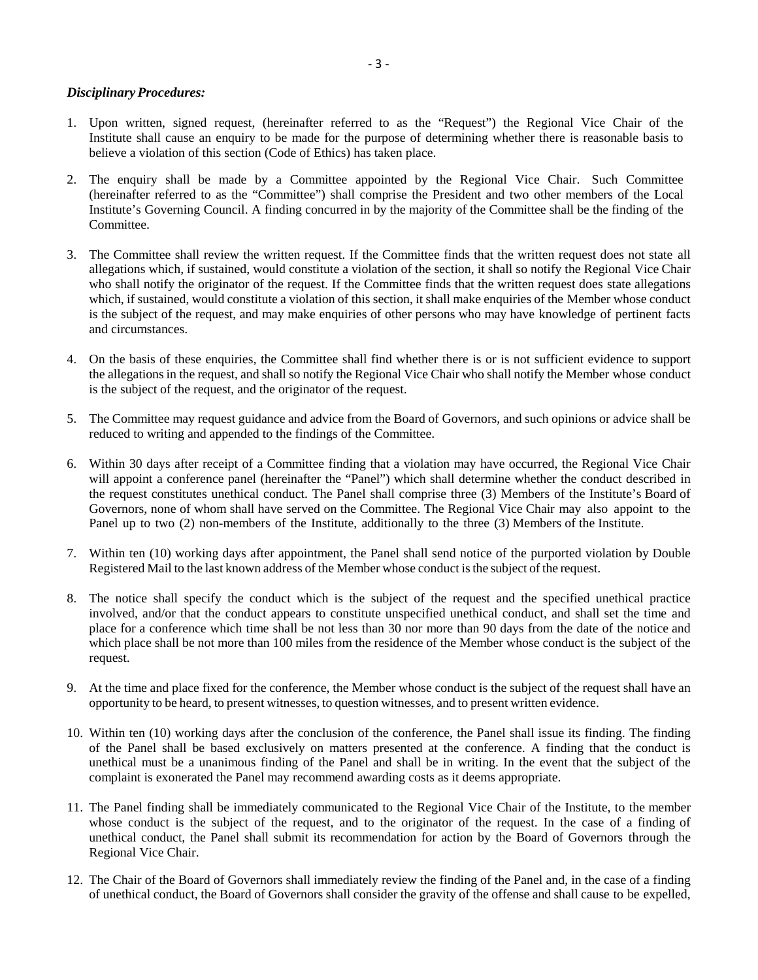## *Disciplinary Procedures:*

- 1. Upon written, signed request, (hereinafter referred to as the "Request") the Regional Vice Chair of the Institute shall cause an enquiry to be made for the purpose of determining whether there is reasonable basis to believe a violation of this section (Code of Ethics) has taken place.
- 2. The enquiry shall be made by a Committee appointed by the Regional Vice Chair. Such Committee (hereinafter referred to as the "Committee") shall comprise the President and two other members of the Local Institute's Governing Council. A finding concurred in by the majority of the Committee shall be the finding of the Committee.
- 3. The Committee shall review the written request. If the Committee finds that the written request does not state all allegations which, if sustained, would constitute a violation of the section, it shall so notify the Regional Vice Chair who shall notify the originator of the request. If the Committee finds that the written request does state allegations which, if sustained, would constitute a violation of this section, it shall make enquiries of the Member whose conduct is the subject of the request, and may make enquiries of other persons who may have knowledge of pertinent facts and circumstances.
- 4. On the basis of these enquiries, the Committee shall find whether there is or is not sufficient evidence to support the allegations in the request, and shall so notify the Regional Vice Chair who shall notify the Member whose conduct is the subject of the request, and the originator of the request.
- 5. The Committee may request guidance and advice from the Board of Governors, and such opinions or advice shall be reduced to writing and appended to the findings of the Committee.
- 6. Within 30 days after receipt of a Committee finding that a violation may have occurred, the Regional Vice Chair will appoint a conference panel (hereinafter the "Panel") which shall determine whether the conduct described in the request constitutes unethical conduct. The Panel shall comprise three (3) Members of the Institute's Board of Governors, none of whom shall have served on the Committee. The Regional Vice Chair may also appoint to the Panel up to two (2) non-members of the Institute, additionally to the three (3) Members of the Institute.
- 7. Within ten (10) working days after appointment, the Panel shall send notice of the purported violation by Double Registered Mail to the last known address of the Member whose conduct is the subject of the request.
- 8. The notice shall specify the conduct which is the subject of the request and the specified unethical practice involved, and/or that the conduct appears to constitute unspecified unethical conduct, and shall set the time and place for a conference which time shall be not less than 30 nor more than 90 days from the date of the notice and which place shall be not more than 100 miles from the residence of the Member whose conduct is the subject of the request.
- 9. At the time and place fixed for the conference, the Member whose conduct is the subject of the request shall have an opportunity to be heard, to present witnesses, to question witnesses, and to present written evidence.
- 10. Within ten (10) working days after the conclusion of the conference, the Panel shall issue its finding. The finding of the Panel shall be based exclusively on matters presented at the conference. A finding that the conduct is unethical must be a unanimous finding of the Panel and shall be in writing. In the event that the subject of the complaint is exonerated the Panel may recommend awarding costs as it deems appropriate.
- 11. The Panel finding shall be immediately communicated to the Regional Vice Chair of the Institute, to the member whose conduct is the subject of the request, and to the originator of the request. In the case of a finding of unethical conduct, the Panel shall submit its recommendation for action by the Board of Governors through the Regional Vice Chair.
- 12. The Chair of the Board of Governors shall immediately review the finding of the Panel and, in the case of a finding of unethical conduct, the Board of Governors shall consider the gravity of the offense and shall cause to be expelled,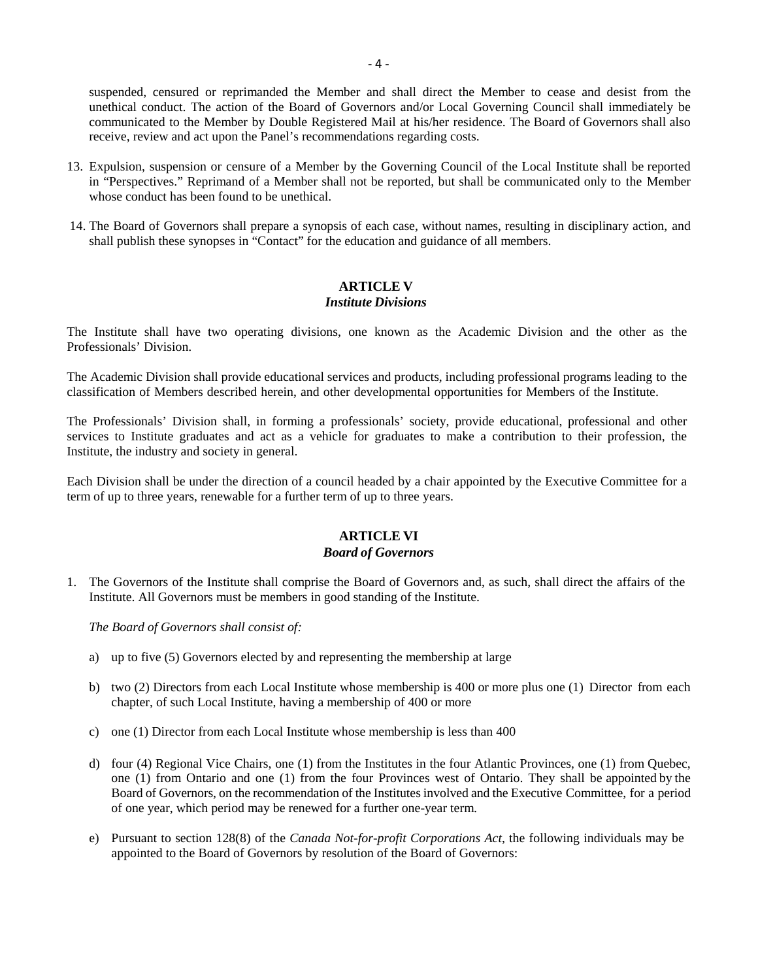suspended, censured or reprimanded the Member and shall direct the Member to cease and desist from the unethical conduct. The action of the Board of Governors and/or Local Governing Council shall immediately be communicated to the Member by Double Registered Mail at his/her residence. The Board of Governors shall also receive, review and act upon the Panel's recommendations regarding costs.

- 13. Expulsion, suspension or censure of a Member by the Governing Council of the Local Institute shall be reported in "Perspectives." Reprimand of a Member shall not be reported, but shall be communicated only to the Member whose conduct has been found to be unethical.
- 14. The Board of Governors shall prepare a synopsis of each case, without names, resulting in disciplinary action, and shall publish these synopses in "Contact" for the education and guidance of all members.

# **ARTICLE V**

# *Institute Divisions*

The Institute shall have two operating divisions, one known as the Academic Division and the other as the Professionals' Division.

The Academic Division shall provide educational services and products, including professional programs leading to the classification of Members described herein, and other developmental opportunities for Members of the Institute.

The Professionals' Division shall, in forming a professionals' society, provide educational, professional and other services to Institute graduates and act as a vehicle for graduates to make a contribution to their profession, the Institute, the industry and society in general.

Each Division shall be under the direction of a council headed by a chair appointed by the Executive Committee for a term of up to three years, renewable for a further term of up to three years.

## **ARTICLE VI** *Board of Governors*

1. The Governors of the Institute shall comprise the Board of Governors and, as such, shall direct the affairs of the Institute. All Governors must be members in good standing of the Institute.

*The Board of Governors shall consist of:*

- a) up to five (5) Governors elected by and representing the membership at large
- b) two (2) Directors from each Local Institute whose membership is 400 or more plus one (1) Director from each chapter, of such Local Institute, having a membership of 400 or more
- c) one (1) Director from each Local Institute whose membership is less than 400
- d) four (4) Regional Vice Chairs, one (1) from the Institutes in the four Atlantic Provinces, one (1) from Quebec, one (1) from Ontario and one (1) from the four Provinces west of Ontario. They shall be appointed by the Board of Governors, on the recommendation of the Institutes involved and the Executive Committee, for a period of one year, which period may be renewed for a further one-year term.
- e) Pursuant to section 128(8) of the *Canada Not-for-profit Corporations Act*, the following individuals may be appointed to the Board of Governors by resolution of the Board of Governors: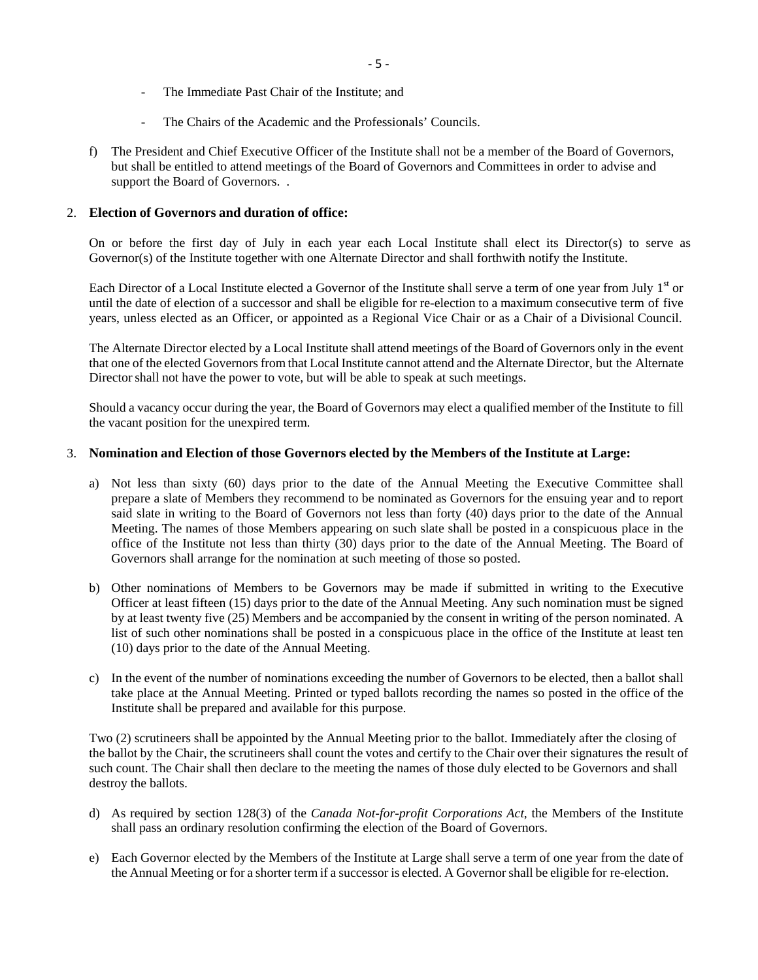- The Immediate Past Chair of the Institute; and
- The Chairs of the Academic and the Professionals' Councils.
- f) The President and Chief Executive Officer of the Institute shall not be a member of the Board of Governors, but shall be entitled to attend meetings of the Board of Governors and Committees in order to advise and support the Board of Governors. .

## 2. **Election of Governors and duration of office:**

On or before the first day of July in each year each Local Institute shall elect its Director(s) to serve as Governor(s) of the Institute together with one Alternate Director and shall forthwith notify the Institute.

Each Director of a Local Institute elected a Governor of the Institute shall serve a term of one year from July 1<sup>st</sup> or until the date of election of a successor and shall be eligible for re-election to a maximum consecutive term of five years, unless elected as an Officer, or appointed as a Regional Vice Chair or as a Chair of a Divisional Council.

The Alternate Director elected by a Local Institute shall attend meetings of the Board of Governors only in the event that one of the elected Governors from that Local Institute cannot attend and the Alternate Director, but the Alternate Director shall not have the power to vote, but will be able to speak at such meetings.

Should a vacancy occur during the year, the Board of Governors may elect a qualified member of the Institute to fill the vacant position for the unexpired term.

## 3. **Nomination and Election of those Governors elected by the Members of the Institute at Large:**

- a) Not less than sixty (60) days prior to the date of the Annual Meeting the Executive Committee shall prepare a slate of Members they recommend to be nominated as Governors for the ensuing year and to report said slate in writing to the Board of Governors not less than forty (40) days prior to the date of the Annual Meeting. The names of those Members appearing on such slate shall be posted in a conspicuous place in the office of the Institute not less than thirty (30) days prior to the date of the Annual Meeting. The Board of Governors shall arrange for the nomination at such meeting of those so posted.
- b) Other nominations of Members to be Governors may be made if submitted in writing to the Executive Officer at least fifteen (15) days prior to the date of the Annual Meeting. Any such nomination must be signed by at least twenty five (25) Members and be accompanied by the consent in writing of the person nominated. A list of such other nominations shall be posted in a conspicuous place in the office of the Institute at least ten (10) days prior to the date of the Annual Meeting.
- c) In the event of the number of nominations exceeding the number of Governors to be elected, then a ballot shall take place at the Annual Meeting. Printed or typed ballots recording the names so posted in the office of the Institute shall be prepared and available for this purpose.

Two (2) scrutineers shall be appointed by the Annual Meeting prior to the ballot. Immediately after the closing of the ballot by the Chair, the scrutineers shall count the votes and certify to the Chair over their signatures the result of such count. The Chair shall then declare to the meeting the names of those duly elected to be Governors and shall destroy the ballots.

- d) As required by section 128(3) of the *Canada Not-for-profit Corporations Act*, the Members of the Institute shall pass an ordinary resolution confirming the election of the Board of Governors.
- e) Each Governor elected by the Members of the Institute at Large shall serve a term of one year from the date of the Annual Meeting or for a shorter term if a successor is elected. A Governor shall be eligible for re-election.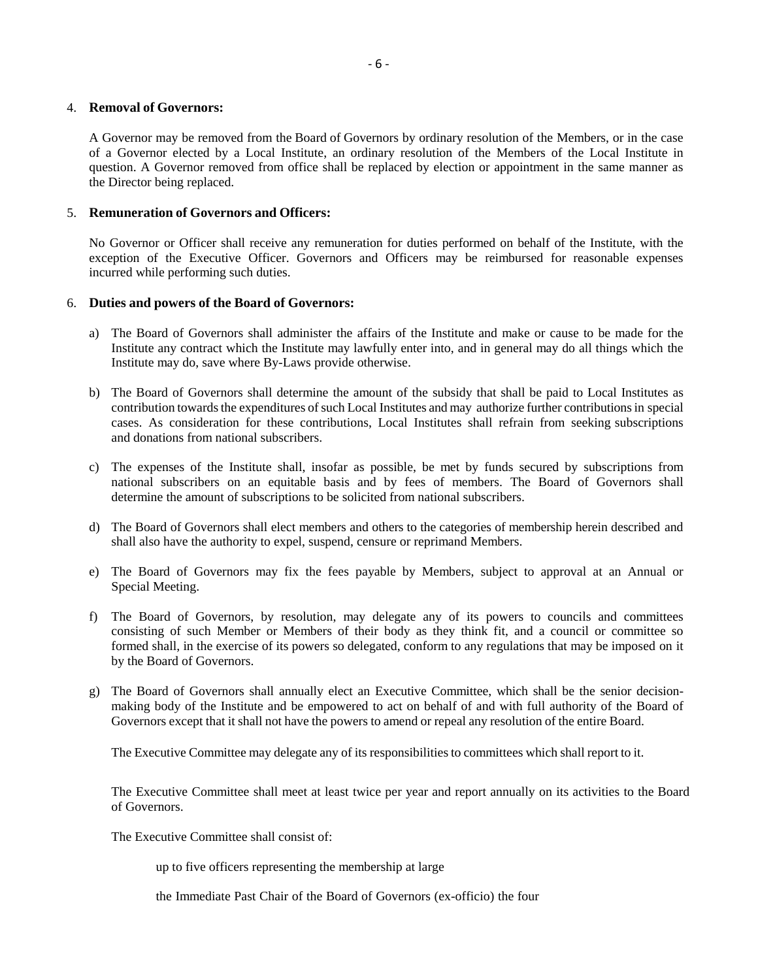#### 4. **Removal of Governors:**

A Governor may be removed from the Board of Governors by ordinary resolution of the Members, or in the case of a Governor elected by a Local Institute, an ordinary resolution of the Members of the Local Institute in question. A Governor removed from office shall be replaced by election or appointment in the same manner as the Director being replaced.

## 5. **Remuneration of Governors and Officers:**

No Governor or Officer shall receive any remuneration for duties performed on behalf of the Institute, with the exception of the Executive Officer. Governors and Officers may be reimbursed for reasonable expenses incurred while performing such duties.

## 6. **Duties and powers of the Board of Governors:**

- a) The Board of Governors shall administer the affairs of the Institute and make or cause to be made for the Institute any contract which the Institute may lawfully enter into, and in general may do all things which the Institute may do, save where By-Laws provide otherwise.
- b) The Board of Governors shall determine the amount of the subsidy that shall be paid to Local Institutes as contribution towards the expenditures of such Local Institutes and may authorize further contributions in special cases. As consideration for these contributions, Local Institutes shall refrain from seeking subscriptions and donations from national subscribers.
- c) The expenses of the Institute shall, insofar as possible, be met by funds secured by subscriptions from national subscribers on an equitable basis and by fees of members. The Board of Governors shall determine the amount of subscriptions to be solicited from national subscribers.
- d) The Board of Governors shall elect members and others to the categories of membership herein described and shall also have the authority to expel, suspend, censure or reprimand Members.
- e) The Board of Governors may fix the fees payable by Members, subject to approval at an Annual or Special Meeting.
- f) The Board of Governors, by resolution, may delegate any of its powers to councils and committees consisting of such Member or Members of their body as they think fit, and a council or committee so formed shall, in the exercise of its powers so delegated, conform to any regulations that may be imposed on it by the Board of Governors.
- g) The Board of Governors shall annually elect an Executive Committee, which shall be the senior decisionmaking body of the Institute and be empowered to act on behalf of and with full authority of the Board of Governors except that it shall not have the powers to amend or repeal any resolution of the entire Board.

The Executive Committee may delegate any of its responsibilities to committees which shall report to it.

The Executive Committee shall meet at least twice per year and report annually on its activities to the Board of Governors.

The Executive Committee shall consist of:

up to five officers representing the membership at large

the Immediate Past Chair of the Board of Governors (ex-officio) the four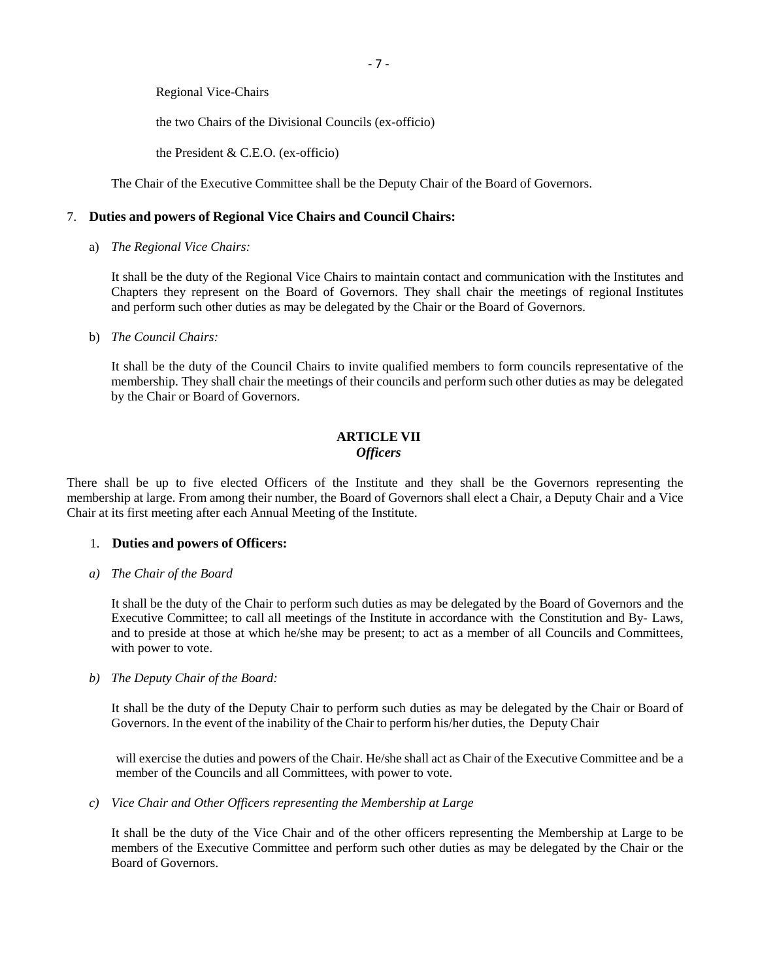Regional Vice-Chairs

the two Chairs of the Divisional Councils (ex-officio)

the President & C.E.O. (ex-officio)

The Chair of the Executive Committee shall be the Deputy Chair of the Board of Governors.

## 7. **Duties and powers of Regional Vice Chairs and Council Chairs:**

a) *The Regional Vice Chairs:*

It shall be the duty of the Regional Vice Chairs to maintain contact and communication with the Institutes and Chapters they represent on the Board of Governors. They shall chair the meetings of regional Institutes and perform such other duties as may be delegated by the Chair or the Board of Governors.

b) *The Council Chairs:*

It shall be the duty of the Council Chairs to invite qualified members to form councils representative of the membership. They shall chair the meetings of their councils and perform such other duties as may be delegated by the Chair or Board of Governors.

# **ARTICLE VII** *Officers*

There shall be up to five elected Officers of the Institute and they shall be the Governors representing the membership at large. From among their number, the Board of Governors shall elect a Chair, a Deputy Chair and a Vice Chair at its first meeting after each Annual Meeting of the Institute.

## 1. **Duties and powers of Officers:**

*a) The Chair of the Board*

It shall be the duty of the Chair to perform such duties as may be delegated by the Board of Governors and the Executive Committee; to call all meetings of the Institute in accordance with the Constitution and By- Laws, and to preside at those at which he/she may be present; to act as a member of all Councils and Committees, with power to vote.

*b) The Deputy Chair of the Board:*

It shall be the duty of the Deputy Chair to perform such duties as may be delegated by the Chair or Board of Governors. In the event of the inability of the Chair to perform his/her duties, the Deputy Chair

will exercise the duties and powers of the Chair. He/she shall act as Chair of the Executive Committee and be a member of the Councils and all Committees, with power to vote.

*c) Vice Chair and Other Officers representing the Membership at Large*

It shall be the duty of the Vice Chair and of the other officers representing the Membership at Large to be members of the Executive Committee and perform such other duties as may be delegated by the Chair or the Board of Governors.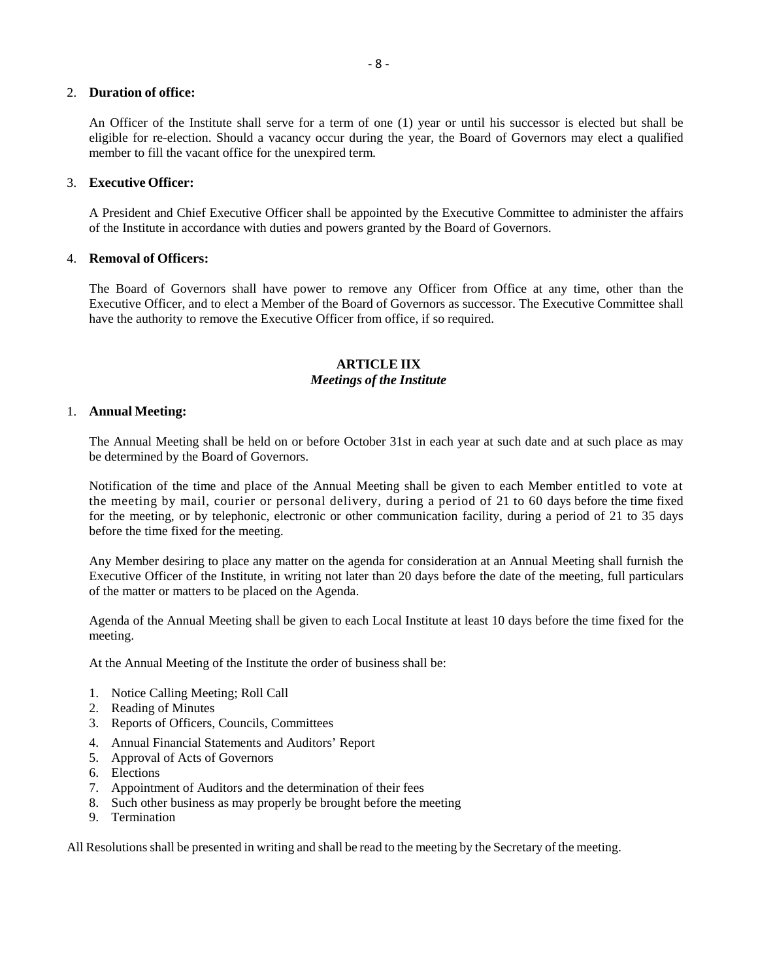## 2. **Duration of office:**

An Officer of the Institute shall serve for a term of one (1) year or until his successor is elected but shall be eligible for re-election. Should a vacancy occur during the year, the Board of Governors may elect a qualified member to fill the vacant office for the unexpired term.

## 3. **Executive Officer:**

A President and Chief Executive Officer shall be appointed by the Executive Committee to administer the affairs of the Institute in accordance with duties and powers granted by the Board of Governors.

## 4. **Removal of Officers:**

The Board of Governors shall have power to remove any Officer from Office at any time, other than the Executive Officer, and to elect a Member of the Board of Governors as successor. The Executive Committee shall have the authority to remove the Executive Officer from office, if so required.

# **ARTICLE IIX** *Meetings of the Institute*

## 1. **Annual Meeting:**

The Annual Meeting shall be held on or before October 31st in each year at such date and at such place as may be determined by the Board of Governors.

Notification of the time and place of the Annual Meeting shall be given to each Member entitled to vote at the meeting by mail, courier or personal delivery, during a period of 21 to 60 days before the time fixed for the meeting, or by telephonic, electronic or other communication facility, during a period of 21 to 35 days before the time fixed for the meeting.

Any Member desiring to place any matter on the agenda for consideration at an Annual Meeting shall furnish the Executive Officer of the Institute, in writing not later than 20 days before the date of the meeting, full particulars of the matter or matters to be placed on the Agenda.

Agenda of the Annual Meeting shall be given to each Local Institute at least 10 days before the time fixed for the meeting.

At the Annual Meeting of the Institute the order of business shall be:

- 1. Notice Calling Meeting; Roll Call
- 2. Reading of Minutes
- 3. Reports of Officers, Councils, Committees
- 4. Annual Financial Statements and Auditors' Report
- 5. Approval of Acts of Governors
- 6. Elections
- 7. Appointment of Auditors and the determination of their fees
- 8. Such other business as may properly be brought before the meeting
- 9. Termination

All Resolutions shall be presented in writing and shall be read to the meeting by the Secretary of the meeting.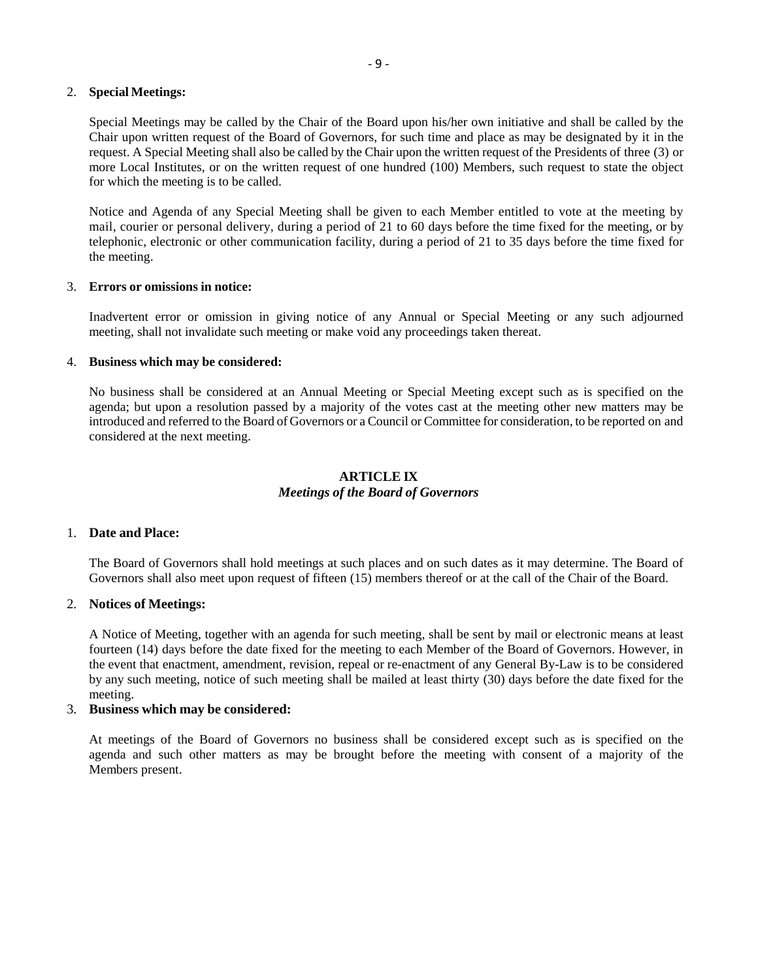## 2. **Special Meetings:**

Special Meetings may be called by the Chair of the Board upon his/her own initiative and shall be called by the Chair upon written request of the Board of Governors, for such time and place as may be designated by it in the request. A Special Meeting shall also be called by the Chair upon the written request of the Presidents of three (3) or more Local Institutes, or on the written request of one hundred (100) Members, such request to state the object for which the meeting is to be called.

Notice and Agenda of any Special Meeting shall be given to each Member entitled to vote at the meeting by mail, courier or personal delivery, during a period of 21 to 60 days before the time fixed for the meeting, or by telephonic, electronic or other communication facility, during a period of 21 to 35 days before the time fixed for the meeting.

#### 3. **Errors or omissions in notice:**

Inadvertent error or omission in giving notice of any Annual or Special Meeting or any such adjourned meeting, shall not invalidate such meeting or make void any proceedings taken thereat.

#### 4. **Business which may be considered:**

No business shall be considered at an Annual Meeting or Special Meeting except such as is specified on the agenda; but upon a resolution passed by a majority of the votes cast at the meeting other new matters may be introduced and referred to the Board of Governors or a Council or Committee for consideration, to be reported on and considered at the next meeting.

## **ARTICLE IX** *Meetings of the Board of Governors*

## 1. **Date and Place:**

The Board of Governors shall hold meetings at such places and on such dates as it may determine. The Board of Governors shall also meet upon request of fifteen (15) members thereof or at the call of the Chair of the Board.

## 2. **Notices of Meetings:**

A Notice of Meeting, together with an agenda for such meeting, shall be sent by mail or electronic means at least fourteen (14) days before the date fixed for the meeting to each Member of the Board of Governors. However, in the event that enactment, amendment, revision, repeal or re-enactment of any General By-Law is to be considered by any such meeting, notice of such meeting shall be mailed at least thirty (30) days before the date fixed for the meeting.

#### 3. **Business which may be considered:**

At meetings of the Board of Governors no business shall be considered except such as is specified on the agenda and such other matters as may be brought before the meeting with consent of a majority of the Members present.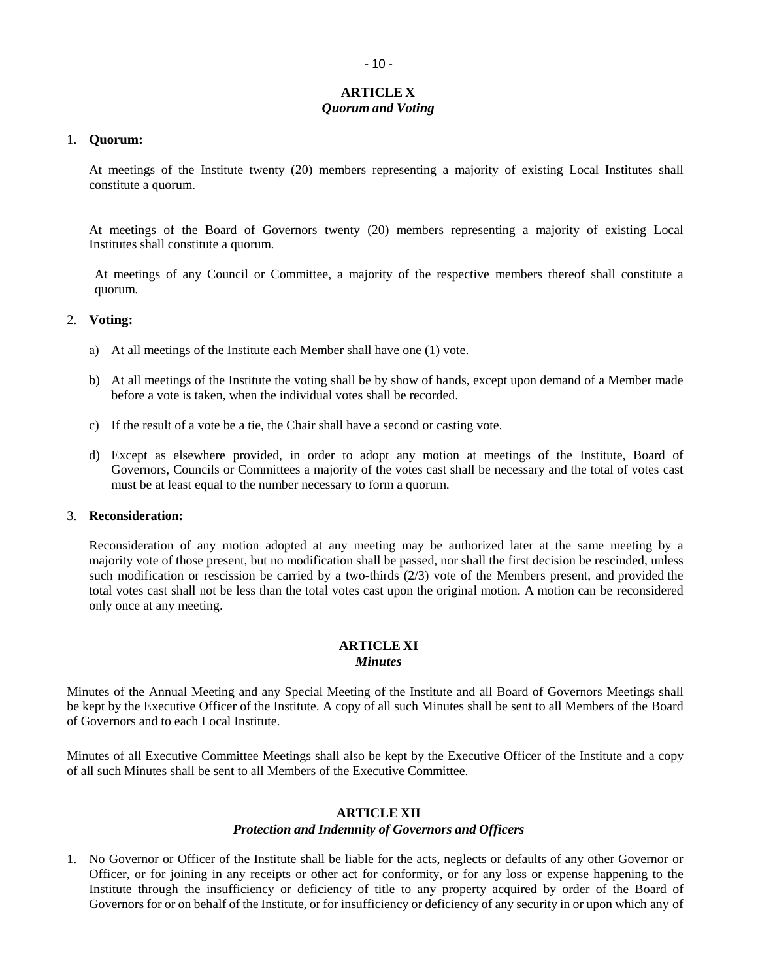# **ARTICLE X** *Quorum and Voting*

#### 1. **Quorum:**

At meetings of the Institute twenty (20) members representing a majority of existing Local Institutes shall constitute a quorum.

At meetings of the Board of Governors twenty (20) members representing a majority of existing Local Institutes shall constitute a quorum.

At meetings of any Council or Committee, a majority of the respective members thereof shall constitute a quorum.

#### 2. **Voting:**

- a) At all meetings of the Institute each Member shall have one (1) vote.
- b) At all meetings of the Institute the voting shall be by show of hands, except upon demand of a Member made before a vote is taken, when the individual votes shall be recorded.
- c) If the result of a vote be a tie, the Chair shall have a second or casting vote.
- d) Except as elsewhere provided, in order to adopt any motion at meetings of the Institute, Board of Governors, Councils or Committees a majority of the votes cast shall be necessary and the total of votes cast must be at least equal to the number necessary to form a quorum.

#### 3. **Reconsideration:**

Reconsideration of any motion adopted at any meeting may be authorized later at the same meeting by a majority vote of those present, but no modification shall be passed, nor shall the first decision be rescinded, unless such modification or rescission be carried by a two-thirds (2/3) vote of the Members present, and provided the total votes cast shall not be less than the total votes cast upon the original motion. A motion can be reconsidered only once at any meeting.

# **ARTICLE XI**

# *Minutes*

Minutes of the Annual Meeting and any Special Meeting of the Institute and all Board of Governors Meetings shall be kept by the Executive Officer of the Institute. A copy of all such Minutes shall be sent to all Members of the Board of Governors and to each Local Institute.

Minutes of all Executive Committee Meetings shall also be kept by the Executive Officer of the Institute and a copy of all such Minutes shall be sent to all Members of the Executive Committee.

## **ARTICLE XII**

#### *Protection and Indemnity of Governors and Officers*

1. No Governor or Officer of the Institute shall be liable for the acts, neglects or defaults of any other Governor or Officer, or for joining in any receipts or other act for conformity, or for any loss or expense happening to the Institute through the insufficiency or deficiency of title to any property acquired by order of the Board of Governors for or on behalf of the Institute, or for insufficiency or deficiency of any security in or upon which any of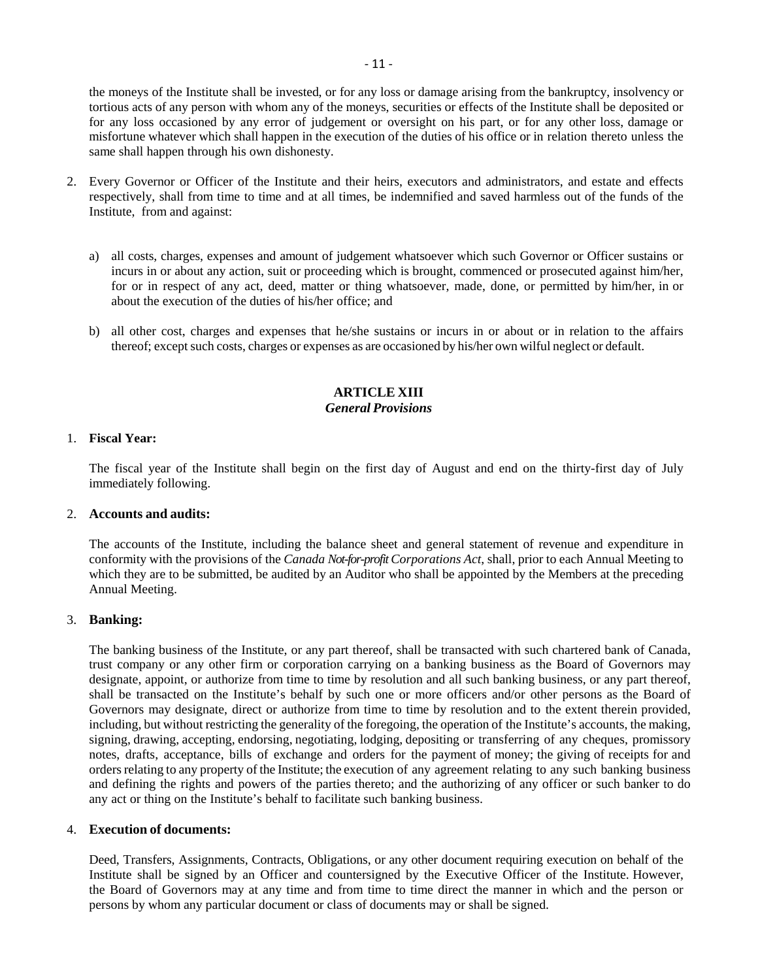the moneys of the Institute shall be invested, or for any loss or damage arising from the bankruptcy, insolvency or tortious acts of any person with whom any of the moneys, securities or effects of the Institute shall be deposited or for any loss occasioned by any error of judgement or oversight on his part, or for any other loss, damage or misfortune whatever which shall happen in the execution of the duties of his office or in relation thereto unless the same shall happen through his own dishonesty.

- 2. Every Governor or Officer of the Institute and their heirs, executors and administrators, and estate and effects respectively, shall from time to time and at all times, be indemnified and saved harmless out of the funds of the Institute, from and against:
	- a) all costs, charges, expenses and amount of judgement whatsoever which such Governor or Officer sustains or incurs in or about any action, suit or proceeding which is brought, commenced or prosecuted against him/her, for or in respect of any act, deed, matter or thing whatsoever, made, done, or permitted by him/her, in or about the execution of the duties of his/her office; and
	- b) all other cost, charges and expenses that he/she sustains or incurs in or about or in relation to the affairs thereof; except such costs, charges or expenses as are occasioned by his/her own wilful neglect or default.

## **ARTICLE XIII** *General Provisions*

#### 1. **Fiscal Year:**

The fiscal year of the Institute shall begin on the first day of August and end on the thirty-first day of July immediately following.

#### 2. **Accounts and audits:**

The accounts of the Institute, including the balance sheet and general statement of revenue and expenditure in conformity with the provisions of the *Canada Not-for-profit Corporations Act*, shall, prior to each Annual Meeting to which they are to be submitted, be audited by an Auditor who shall be appointed by the Members at the preceding Annual Meeting.

# 3. **Banking:**

The banking business of the Institute, or any part thereof, shall be transacted with such chartered bank of Canada, trust company or any other firm or corporation carrying on a banking business as the Board of Governors may designate, appoint, or authorize from time to time by resolution and all such banking business, or any part thereof, shall be transacted on the Institute's behalf by such one or more officers and/or other persons as the Board of Governors may designate, direct or authorize from time to time by resolution and to the extent therein provided, including, but without restricting the generality of the foregoing, the operation of the Institute's accounts, the making, signing, drawing, accepting, endorsing, negotiating, lodging, depositing or transferring of any cheques, promissory notes, drafts, acceptance, bills of exchange and orders for the payment of money; the giving of receipts for and orders relating to any property of the Institute; the execution of any agreement relating to any such banking business and defining the rights and powers of the parties thereto; and the authorizing of any officer or such banker to do any act or thing on the Institute's behalf to facilitate such banking business.

#### 4. **Execution of documents:**

Deed, Transfers, Assignments, Contracts, Obligations, or any other document requiring execution on behalf of the Institute shall be signed by an Officer and countersigned by the Executive Officer of the Institute. However, the Board of Governors may at any time and from time to time direct the manner in which and the person or persons by whom any particular document or class of documents may or shall be signed.